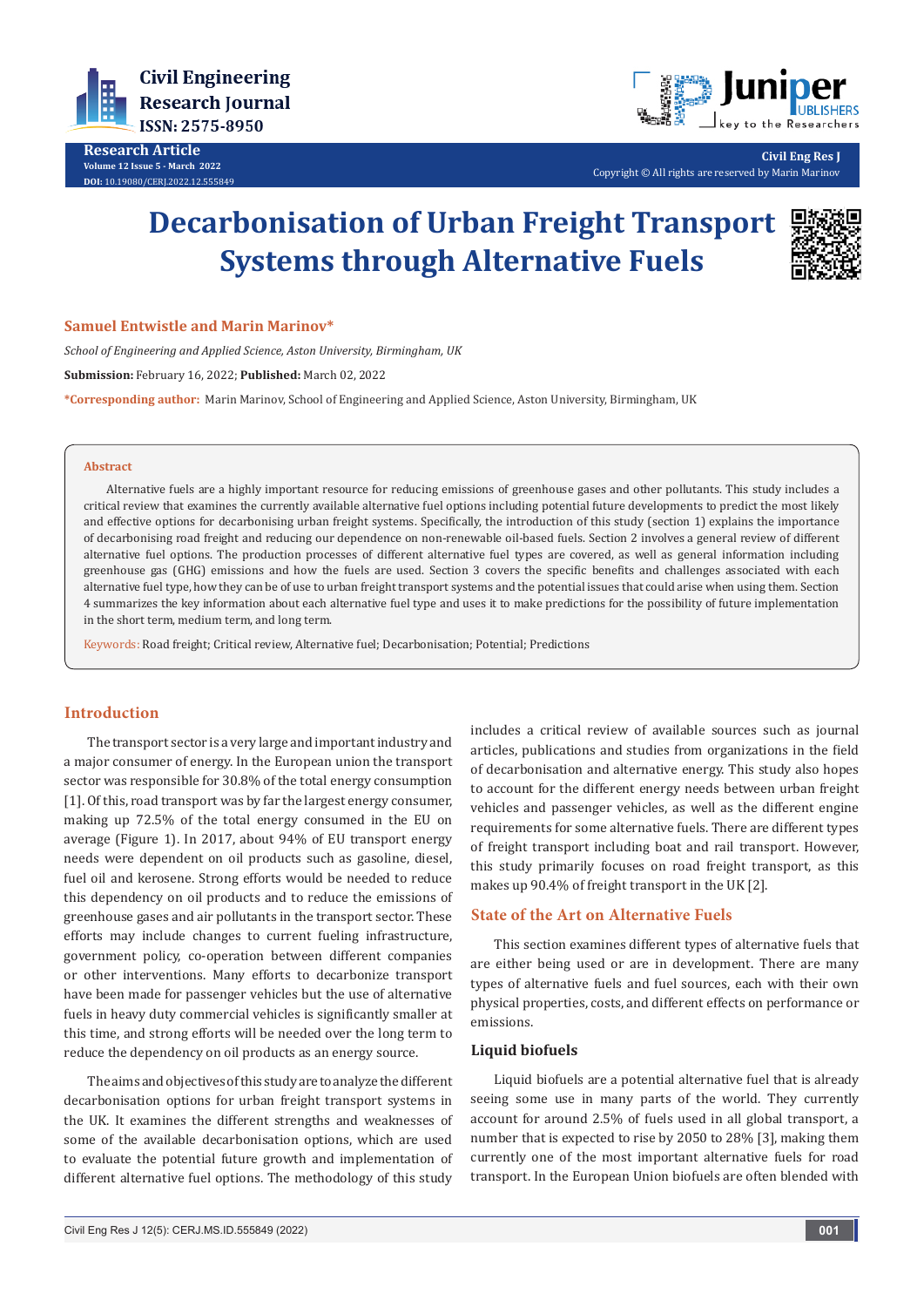

**Research Article Volume 12 Issue 5 - March 2022 DOI:** [10.19080/CERJ.2022.12.55584](http://dx.doi.org/10.19080/CERJ.2022.12.555849)9



**Civil Eng Res J** Copyright © All rights are reserved by Marin Marinov

# **Decarbonisation of Urban Freight Transport Systems through Alternative Fuels**



#### **Samuel Entwistle and Marin Marinov\***

*School of Engineering and Applied Science, Aston University, Birmingham, UK* **Submission:** February 16, 2022; **Published:** March 02, 2022 **\*Corresponding author:** Marin Marinov, School of Engineering and Applied Science, Aston University, Birmingham, UK

#### **Abstract**

Alternative fuels are a highly important resource for reducing emissions of greenhouse gases and other pollutants. This study includes a critical review that examines the currently available alternative fuel options including potential future developments to predict the most likely and effective options for decarbonising urban freight systems. Specifically, the introduction of this study (section 1) explains the importance of decarbonising road freight and reducing our dependence on non-renewable oil-based fuels. Section 2 involves a general review of different alternative fuel options. The production processes of different alternative fuel types are covered, as well as general information including greenhouse gas (GHG) emissions and how the fuels are used. Section 3 covers the specific benefits and challenges associated with each alternative fuel type, how they can be of use to urban freight transport systems and the potential issues that could arise when using them. Section 4 summarizes the key information about each alternative fuel type and uses it to make predictions for the possibility of future implementation in the short term, medium term, and long term.

Keywords: Road freight; Critical review, Alternative fuel; Decarbonisation; Potential; Predictions

# **Introduction**

The transport sector is a very large and important industry and a major consumer of energy. In the European union the transport sector was responsible for 30.8% of the total energy consumption [1]. Of this, road transport was by far the largest energy consumer, making up 72.5% of the total energy consumed in the EU on average (Figure 1). In 2017, about 94% of EU transport energy needs were dependent on oil products such as gasoline, diesel, fuel oil and kerosene. Strong efforts would be needed to reduce this dependency on oil products and to reduce the emissions of greenhouse gases and air pollutants in the transport sector. These efforts may include changes to current fueling infrastructure, government policy, co-operation between different companies or other interventions. Many efforts to decarbonize transport have been made for passenger vehicles but the use of alternative fuels in heavy duty commercial vehicles is significantly smaller at this time, and strong efforts will be needed over the long term to reduce the dependency on oil products as an energy source.

The aims and objectives of this study are to analyze the different decarbonisation options for urban freight transport systems in the UK. It examines the different strengths and weaknesses of some of the available decarbonisation options, which are used to evaluate the potential future growth and implementation of different alternative fuel options. The methodology of this study

includes a critical review of available sources such as journal articles, publications and studies from organizations in the field of decarbonisation and alternative energy. This study also hopes to account for the different energy needs between urban freight vehicles and passenger vehicles, as well as the different engine requirements for some alternative fuels. There are different types of freight transport including boat and rail transport. However, this study primarily focuses on road freight transport, as this makes up 90.4% of freight transport in the UK [2].

# **State of the Art on Alternative Fuels**

This section examines different types of alternative fuels that are either being used or are in development. There are many types of alternative fuels and fuel sources, each with their own physical properties, costs, and different effects on performance or emissions.

## **Liquid biofuels**

Liquid biofuels are a potential alternative fuel that is already seeing some use in many parts of the world. They currently account for around 2.5% of fuels used in all global transport, a number that is expected to rise by 2050 to 28% [3], making them currently one of the most important alternative fuels for road transport. In the European Union biofuels are often blended with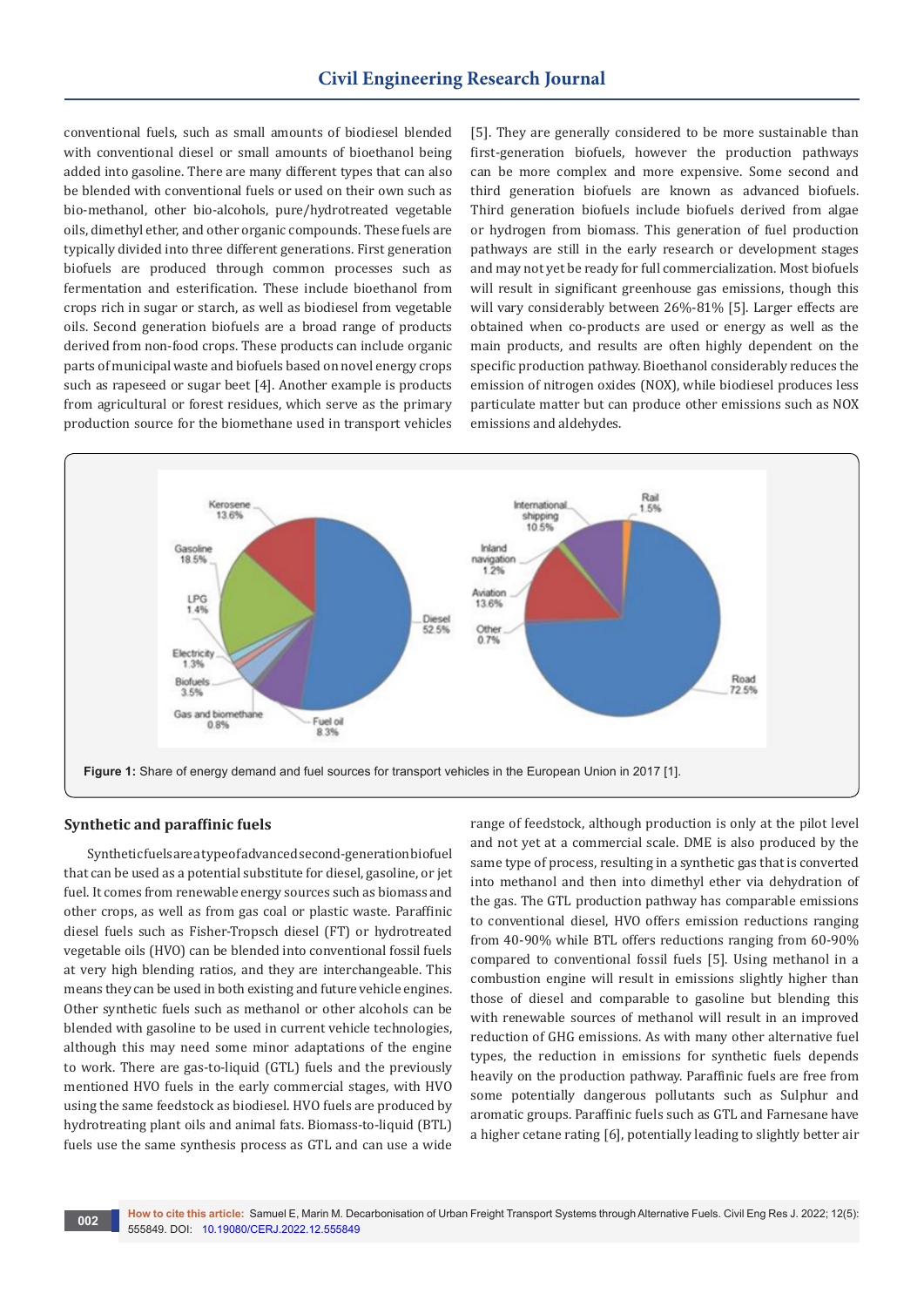conventional fuels, such as small amounts of biodiesel blended with conventional diesel or small amounts of bioethanol being added into gasoline. There are many different types that can also be blended with conventional fuels or used on their own such as bio-methanol, other bio-alcohols, pure/hydrotreated vegetable oils, dimethyl ether, and other organic compounds. These fuels are typically divided into three different generations. First generation biofuels are produced through common processes such as fermentation and esterification. These include bioethanol from crops rich in sugar or starch, as well as biodiesel from vegetable oils. Second generation biofuels are a broad range of products derived from non-food crops. These products can include organic parts of municipal waste and biofuels based on novel energy crops such as rapeseed or sugar beet [4]. Another example is products from agricultural or forest residues, which serve as the primary production source for the biomethane used in transport vehicles

[5]. They are generally considered to be more sustainable than first-generation biofuels, however the production pathways can be more complex and more expensive. Some second and third generation biofuels are known as advanced biofuels. Third generation biofuels include biofuels derived from algae or hydrogen from biomass. This generation of fuel production pathways are still in the early research or development stages and may not yet be ready for full commercialization. Most biofuels will result in significant greenhouse gas emissions, though this will vary considerably between 26%-81% [5]. Larger effects are obtained when co-products are used or energy as well as the main products, and results are often highly dependent on the specific production pathway. Bioethanol considerably reduces the emission of nitrogen oxides (NOX), while biodiesel produces less particulate matter but can produce other emissions such as NOX emissions and aldehydes.



# **Synthetic and paraffinic fuels**

Synthetic fuels are a type of advanced second-generation biofuel that can be used as a potential substitute for diesel, gasoline, or jet fuel. It comes from renewable energy sources such as biomass and other crops, as well as from gas coal or plastic waste. Paraffinic diesel fuels such as Fisher-Tropsch diesel (FT) or hydrotreated vegetable oils (HVO) can be blended into conventional fossil fuels at very high blending ratios, and they are interchangeable. This means they can be used in both existing and future vehicle engines. Other synthetic fuels such as methanol or other alcohols can be blended with gasoline to be used in current vehicle technologies, although this may need some minor adaptations of the engine to work. There are gas-to-liquid (GTL) fuels and the previously mentioned HVO fuels in the early commercial stages, with HVO using the same feedstock as biodiesel. HVO fuels are produced by hydrotreating plant oils and animal fats. Biomass-to-liquid (BTL) fuels use the same synthesis process as GTL and can use a wide

range of feedstock, although production is only at the pilot level and not yet at a commercial scale. DME is also produced by the same type of process, resulting in a synthetic gas that is converted into methanol and then into dimethyl ether via dehydration of the gas. The GTL production pathway has comparable emissions to conventional diesel, HVO offers emission reductions ranging from 40-90% while BTL offers reductions ranging from 60-90% compared to conventional fossil fuels [5]. Using methanol in a combustion engine will result in emissions slightly higher than those of diesel and comparable to gasoline but blending this with renewable sources of methanol will result in an improved reduction of GHG emissions. As with many other alternative fuel types, the reduction in emissions for synthetic fuels depends heavily on the production pathway. Paraffinic fuels are free from some potentially dangerous pollutants such as Sulphur and aromatic groups. Paraffinic fuels such as GTL and Farnesane have a higher cetane rating [6], potentially leading to slightly better air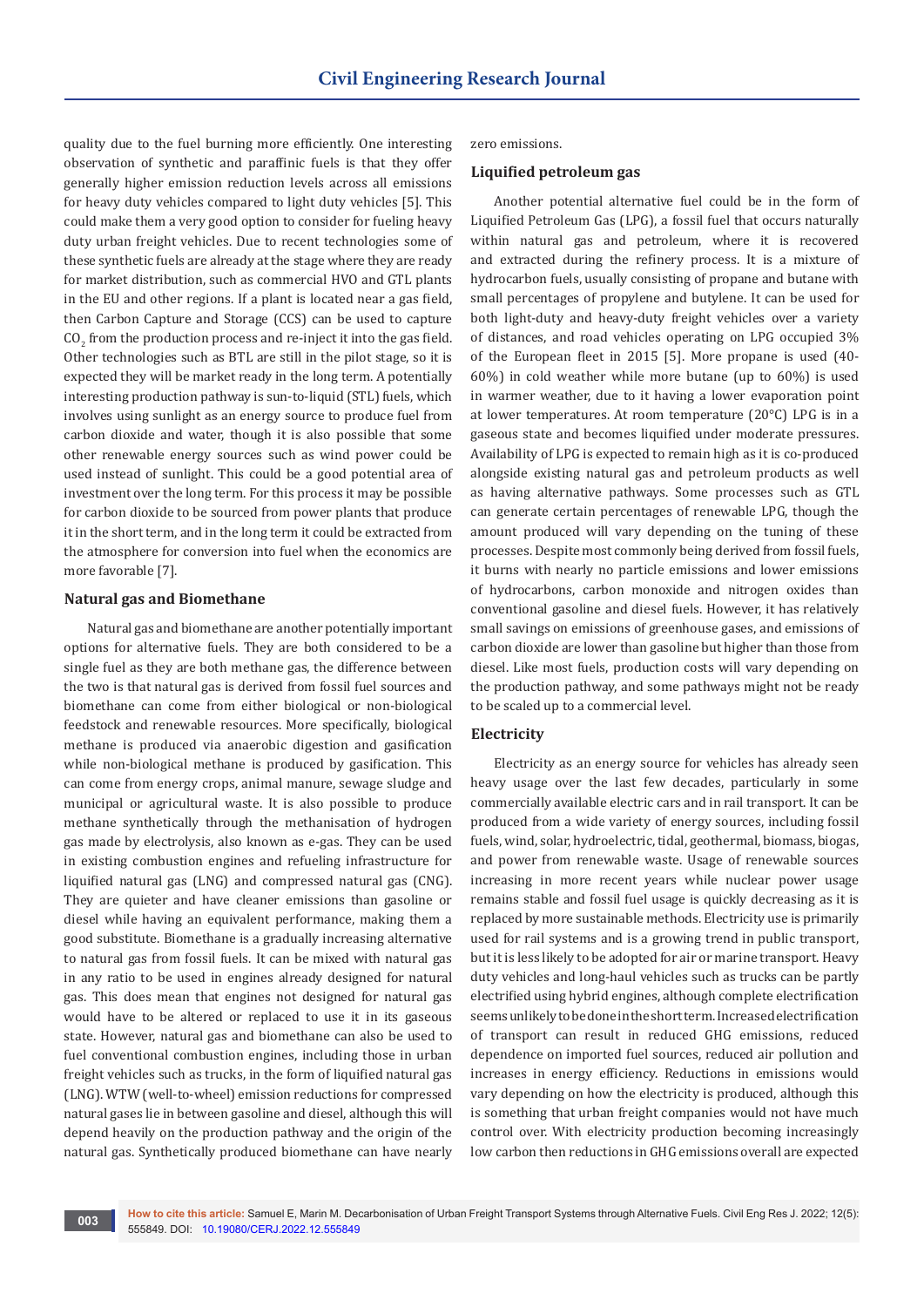quality due to the fuel burning more efficiently. One interesting observation of synthetic and paraffinic fuels is that they offer generally higher emission reduction levels across all emissions for heavy duty vehicles compared to light duty vehicles [5]. This could make them a very good option to consider for fueling heavy duty urban freight vehicles. Due to recent technologies some of these synthetic fuels are already at the stage where they are ready for market distribution, such as commercial HVO and GTL plants in the EU and other regions. If a plant is located near a gas field, then Carbon Capture and Storage (CCS) can be used to capture  $\rm CO_2$  from the production process and re-inject it into the gas field. Other technologies such as BTL are still in the pilot stage, so it is expected they will be market ready in the long term. A potentially interesting production pathway is sun-to-liquid (STL) fuels, which involves using sunlight as an energy source to produce fuel from carbon dioxide and water, though it is also possible that some other renewable energy sources such as wind power could be used instead of sunlight. This could be a good potential area of investment over the long term. For this process it may be possible for carbon dioxide to be sourced from power plants that produce it in the short term, and in the long term it could be extracted from the atmosphere for conversion into fuel when the economics are more favorable [7].

## **Natural gas and Biomethane**

Natural gas and biomethane are another potentially important options for alternative fuels. They are both considered to be a single fuel as they are both methane gas, the difference between the two is that natural gas is derived from fossil fuel sources and biomethane can come from either biological or non-biological feedstock and renewable resources. More specifically, biological methane is produced via anaerobic digestion and gasification while non-biological methane is produced by gasification. This can come from energy crops, animal manure, sewage sludge and municipal or agricultural waste. It is also possible to produce methane synthetically through the methanisation of hydrogen gas made by electrolysis, also known as e-gas. They can be used in existing combustion engines and refueling infrastructure for liquified natural gas (LNG) and compressed natural gas (CNG). They are quieter and have cleaner emissions than gasoline or diesel while having an equivalent performance, making them a good substitute. Biomethane is a gradually increasing alternative to natural gas from fossil fuels. It can be mixed with natural gas in any ratio to be used in engines already designed for natural gas. This does mean that engines not designed for natural gas would have to be altered or replaced to use it in its gaseous state. However, natural gas and biomethane can also be used to fuel conventional combustion engines, including those in urban freight vehicles such as trucks, in the form of liquified natural gas (LNG). WTW (well-to-wheel) emission reductions for compressed natural gases lie in between gasoline and diesel, although this will depend heavily on the production pathway and the origin of the natural gas. Synthetically produced biomethane can have nearly

zero emissions.

#### **Liquified petroleum gas**

Another potential alternative fuel could be in the form of Liquified Petroleum Gas (LPG), a fossil fuel that occurs naturally within natural gas and petroleum, where it is recovered and extracted during the refinery process. It is a mixture of hydrocarbon fuels, usually consisting of propane and butane with small percentages of propylene and butylene. It can be used for both light-duty and heavy-duty freight vehicles over a variety of distances, and road vehicles operating on LPG occupied 3% of the European fleet in 2015 [5]. More propane is used (40- 60%) in cold weather while more butane (up to 60%) is used in warmer weather, due to it having a lower evaporation point at lower temperatures. At room temperature (20°C) LPG is in a gaseous state and becomes liquified under moderate pressures. Availability of LPG is expected to remain high as it is co-produced alongside existing natural gas and petroleum products as well as having alternative pathways. Some processes such as GTL can generate certain percentages of renewable LPG, though the amount produced will vary depending on the tuning of these processes. Despite most commonly being derived from fossil fuels, it burns with nearly no particle emissions and lower emissions of hydrocarbons, carbon monoxide and nitrogen oxides than conventional gasoline and diesel fuels. However, it has relatively small savings on emissions of greenhouse gases, and emissions of carbon dioxide are lower than gasoline but higher than those from diesel. Like most fuels, production costs will vary depending on the production pathway, and some pathways might not be ready to be scaled up to a commercial level.

#### **Electricity**

Electricity as an energy source for vehicles has already seen heavy usage over the last few decades, particularly in some commercially available electric cars and in rail transport. It can be produced from a wide variety of energy sources, including fossil fuels, wind, solar, hydroelectric, tidal, geothermal, biomass, biogas, and power from renewable waste. Usage of renewable sources increasing in more recent years while nuclear power usage remains stable and fossil fuel usage is quickly decreasing as it is replaced by more sustainable methods. Electricity use is primarily used for rail systems and is a growing trend in public transport, but it is less likely to be adopted for air or marine transport. Heavy duty vehicles and long-haul vehicles such as trucks can be partly electrified using hybrid engines, although complete electrification seems unlikely to be done in the short term. Increased electrification of transport can result in reduced GHG emissions, reduced dependence on imported fuel sources, reduced air pollution and increases in energy efficiency. Reductions in emissions would vary depending on how the electricity is produced, although this is something that urban freight companies would not have much control over. With electricity production becoming increasingly low carbon then reductions in GHG emissions overall are expected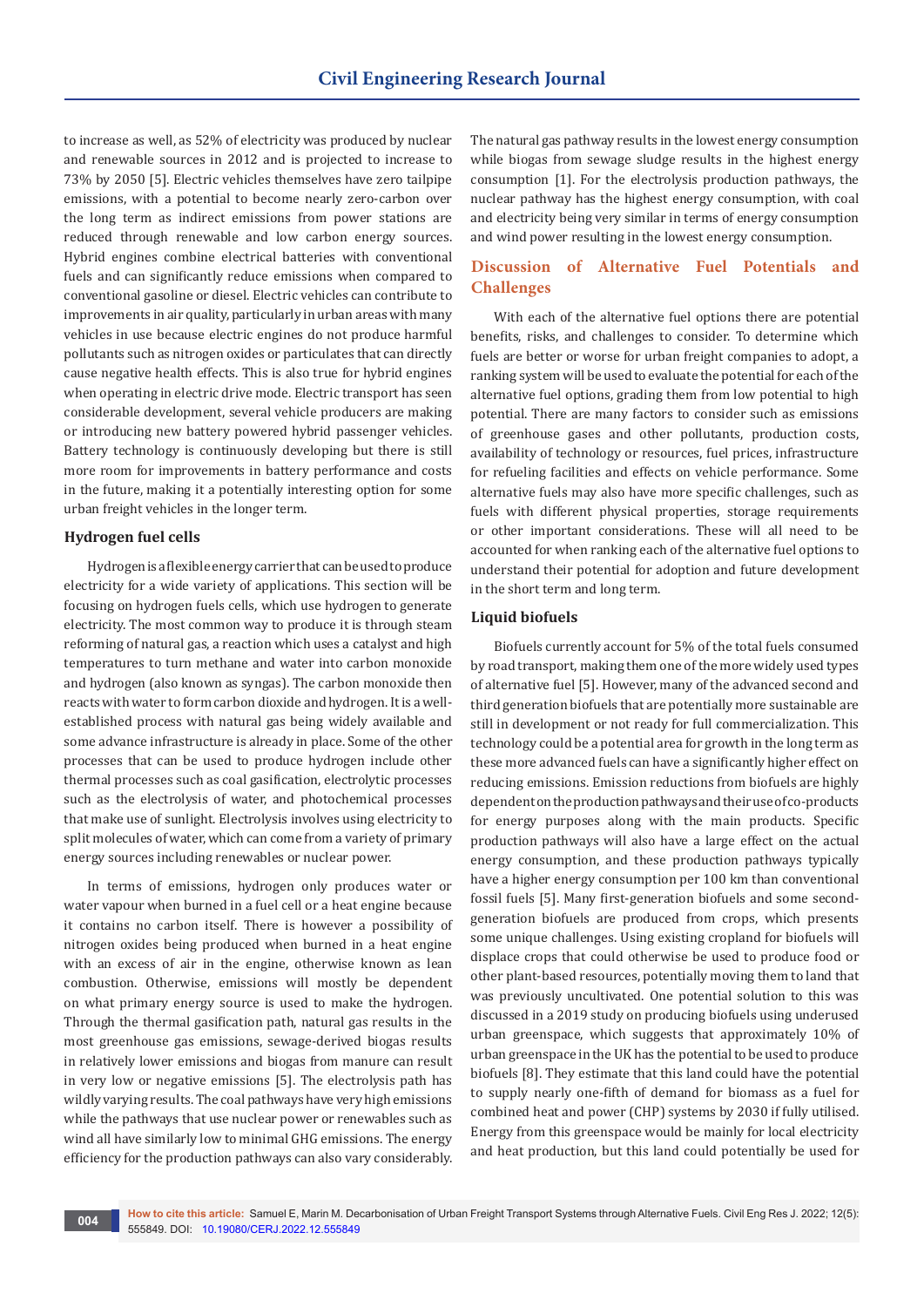to increase as well, as 52% of electricity was produced by nuclear and renewable sources in 2012 and is projected to increase to 73% by 2050 [5]. Electric vehicles themselves have zero tailpipe emissions, with a potential to become nearly zero-carbon over the long term as indirect emissions from power stations are reduced through renewable and low carbon energy sources. Hybrid engines combine electrical batteries with conventional fuels and can significantly reduce emissions when compared to conventional gasoline or diesel. Electric vehicles can contribute to improvements in air quality, particularly in urban areas with many vehicles in use because electric engines do not produce harmful pollutants such as nitrogen oxides or particulates that can directly cause negative health effects. This is also true for hybrid engines when operating in electric drive mode. Electric transport has seen considerable development, several vehicle producers are making or introducing new battery powered hybrid passenger vehicles. Battery technology is continuously developing but there is still more room for improvements in battery performance and costs in the future, making it a potentially interesting option for some urban freight vehicles in the longer term.

## **Hydrogen fuel cells**

Hydrogen is a flexible energy carrier that can be used to produce electricity for a wide variety of applications. This section will be focusing on hydrogen fuels cells, which use hydrogen to generate electricity. The most common way to produce it is through steam reforming of natural gas, a reaction which uses a catalyst and high temperatures to turn methane and water into carbon monoxide and hydrogen (also known as syngas). The carbon monoxide then reacts with water to form carbon dioxide and hydrogen. It is a wellestablished process with natural gas being widely available and some advance infrastructure is already in place. Some of the other processes that can be used to produce hydrogen include other thermal processes such as coal gasification, electrolytic processes such as the electrolysis of water, and photochemical processes that make use of sunlight. Electrolysis involves using electricity to split molecules of water, which can come from a variety of primary energy sources including renewables or nuclear power.

In terms of emissions, hydrogen only produces water or water vapour when burned in a fuel cell or a heat engine because it contains no carbon itself. There is however a possibility of nitrogen oxides being produced when burned in a heat engine with an excess of air in the engine, otherwise known as lean combustion. Otherwise, emissions will mostly be dependent on what primary energy source is used to make the hydrogen. Through the thermal gasification path, natural gas results in the most greenhouse gas emissions, sewage-derived biogas results in relatively lower emissions and biogas from manure can result in very low or negative emissions [5]. The electrolysis path has wildly varying results. The coal pathways have very high emissions while the pathways that use nuclear power or renewables such as wind all have similarly low to minimal GHG emissions. The energy efficiency for the production pathways can also vary considerably.

The natural gas pathway results in the lowest energy consumption while biogas from sewage sludge results in the highest energy consumption [1]. For the electrolysis production pathways, the nuclear pathway has the highest energy consumption, with coal and electricity being very similar in terms of energy consumption and wind power resulting in the lowest energy consumption.

# **Discussion of Alternative Fuel Potentials and Challenges**

With each of the alternative fuel options there are potential benefits, risks, and challenges to consider. To determine which fuels are better or worse for urban freight companies to adopt, a ranking system will be used to evaluate the potential for each of the alternative fuel options, grading them from low potential to high potential. There are many factors to consider such as emissions of greenhouse gases and other pollutants, production costs, availability of technology or resources, fuel prices, infrastructure for refueling facilities and effects on vehicle performance. Some alternative fuels may also have more specific challenges, such as fuels with different physical properties, storage requirements or other important considerations. These will all need to be accounted for when ranking each of the alternative fuel options to understand their potential for adoption and future development in the short term and long term.

## **Liquid biofuels**

Biofuels currently account for 5% of the total fuels consumed by road transport, making them one of the more widely used types of alternative fuel [5]. However, many of the advanced second and third generation biofuels that are potentially more sustainable are still in development or not ready for full commercialization. This technology could be a potential area for growth in the long term as these more advanced fuels can have a significantly higher effect on reducing emissions. Emission reductions from biofuels are highly dependent on the production pathways and their use of co-products for energy purposes along with the main products. Specific production pathways will also have a large effect on the actual energy consumption, and these production pathways typically have a higher energy consumption per 100 km than conventional fossil fuels [5]. Many first-generation biofuels and some secondgeneration biofuels are produced from crops, which presents some unique challenges. Using existing cropland for biofuels will displace crops that could otherwise be used to produce food or other plant-based resources, potentially moving them to land that was previously uncultivated. One potential solution to this was discussed in a 2019 study on producing biofuels using underused urban greenspace, which suggests that approximately 10% of urban greenspace in the UK has the potential to be used to produce biofuels [8]. They estimate that this land could have the potential to supply nearly one-fifth of demand for biomass as a fuel for combined heat and power (CHP) systems by 2030 if fully utilised. Energy from this greenspace would be mainly for local electricity and heat production, but this land could potentially be used for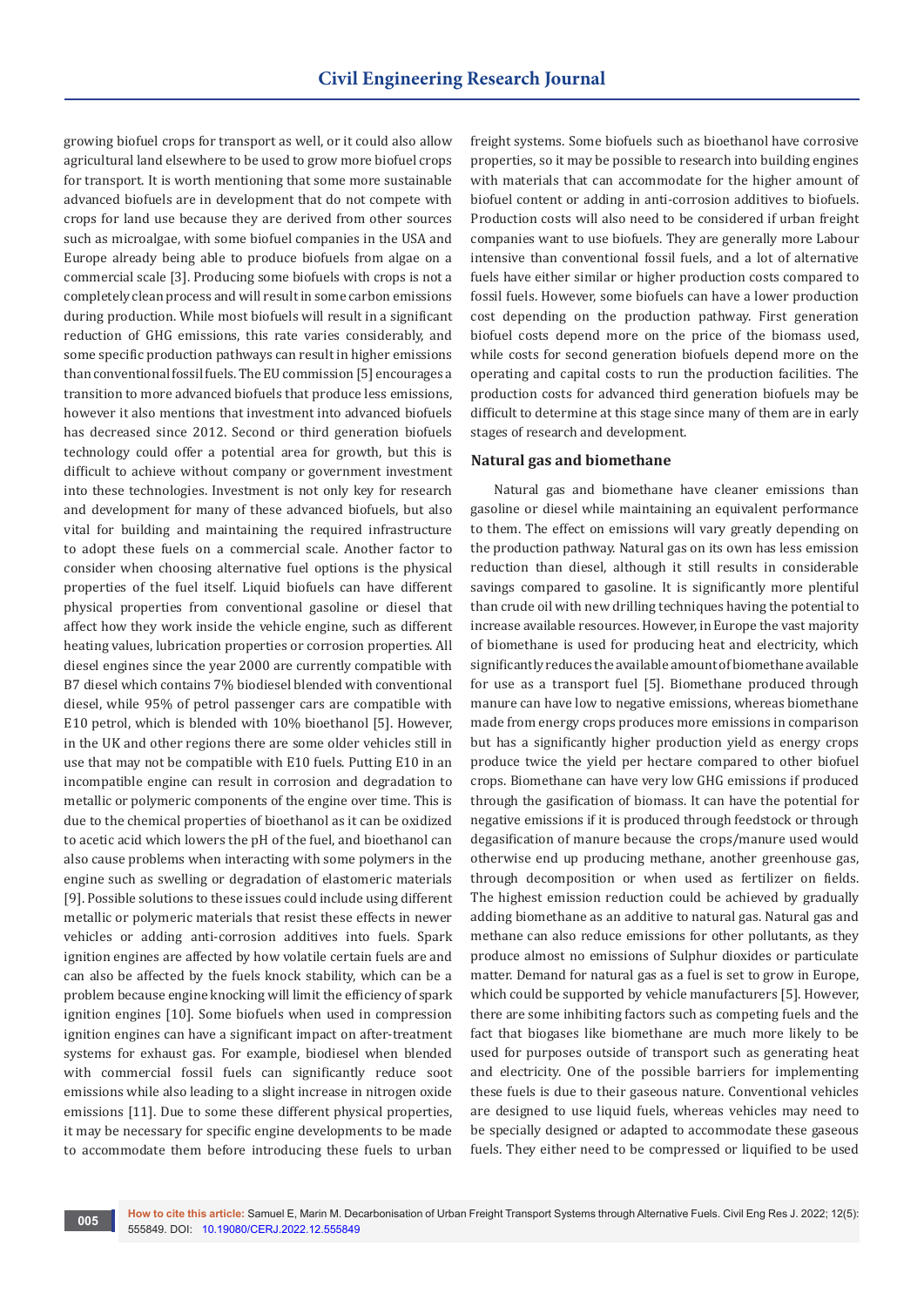growing biofuel crops for transport as well, or it could also allow agricultural land elsewhere to be used to grow more biofuel crops for transport. It is worth mentioning that some more sustainable advanced biofuels are in development that do not compete with crops for land use because they are derived from other sources such as microalgae, with some biofuel companies in the USA and Europe already being able to produce biofuels from algae on a commercial scale [3]. Producing some biofuels with crops is not a completely clean process and will result in some carbon emissions during production. While most biofuels will result in a significant reduction of GHG emissions, this rate varies considerably, and some specific production pathways can result in higher emissions than conventional fossil fuels. The EU commission [5] encourages a transition to more advanced biofuels that produce less emissions, however it also mentions that investment into advanced biofuels has decreased since 2012. Second or third generation biofuels technology could offer a potential area for growth, but this is difficult to achieve without company or government investment into these technologies. Investment is not only key for research and development for many of these advanced biofuels, but also vital for building and maintaining the required infrastructure to adopt these fuels on a commercial scale. Another factor to consider when choosing alternative fuel options is the physical properties of the fuel itself. Liquid biofuels can have different physical properties from conventional gasoline or diesel that affect how they work inside the vehicle engine, such as different heating values, lubrication properties or corrosion properties. All diesel engines since the year 2000 are currently compatible with B7 diesel which contains 7% biodiesel blended with conventional diesel, while 95% of petrol passenger cars are compatible with E10 petrol, which is blended with 10% bioethanol [5]. However, in the UK and other regions there are some older vehicles still in use that may not be compatible with E10 fuels. Putting E10 in an incompatible engine can result in corrosion and degradation to metallic or polymeric components of the engine over time. This is due to the chemical properties of bioethanol as it can be oxidized to acetic acid which lowers the pH of the fuel, and bioethanol can also cause problems when interacting with some polymers in the engine such as swelling or degradation of elastomeric materials [9]. Possible solutions to these issues could include using different metallic or polymeric materials that resist these effects in newer vehicles or adding anti-corrosion additives into fuels. Spark ignition engines are affected by how volatile certain fuels are and can also be affected by the fuels knock stability, which can be a problem because engine knocking will limit the efficiency of spark ignition engines [10]. Some biofuels when used in compression ignition engines can have a significant impact on after-treatment systems for exhaust gas. For example, biodiesel when blended with commercial fossil fuels can significantly reduce soot emissions while also leading to a slight increase in nitrogen oxide emissions [11]. Due to some these different physical properties, it may be necessary for specific engine developments to be made to accommodate them before introducing these fuels to urban

freight systems. Some biofuels such as bioethanol have corrosive properties, so it may be possible to research into building engines with materials that can accommodate for the higher amount of biofuel content or adding in anti-corrosion additives to biofuels. Production costs will also need to be considered if urban freight companies want to use biofuels. They are generally more Labour intensive than conventional fossil fuels, and a lot of alternative fuels have either similar or higher production costs compared to fossil fuels. However, some biofuels can have a lower production cost depending on the production pathway. First generation biofuel costs depend more on the price of the biomass used, while costs for second generation biofuels depend more on the operating and capital costs to run the production facilities. The production costs for advanced third generation biofuels may be difficult to determine at this stage since many of them are in early stages of research and development.

## **Natural gas and biomethane**

Natural gas and biomethane have cleaner emissions than gasoline or diesel while maintaining an equivalent performance to them. The effect on emissions will vary greatly depending on the production pathway. Natural gas on its own has less emission reduction than diesel, although it still results in considerable savings compared to gasoline. It is significantly more plentiful than crude oil with new drilling techniques having the potential to increase available resources. However, in Europe the vast majority of biomethane is used for producing heat and electricity, which significantly reduces the available amount of biomethane available for use as a transport fuel [5]. Biomethane produced through manure can have low to negative emissions, whereas biomethane made from energy crops produces more emissions in comparison but has a significantly higher production yield as energy crops produce twice the yield per hectare compared to other biofuel crops. Biomethane can have very low GHG emissions if produced through the gasification of biomass. It can have the potential for negative emissions if it is produced through feedstock or through degasification of manure because the crops/manure used would otherwise end up producing methane, another greenhouse gas, through decomposition or when used as fertilizer on fields. The highest emission reduction could be achieved by gradually adding biomethane as an additive to natural gas. Natural gas and methane can also reduce emissions for other pollutants, as they produce almost no emissions of Sulphur dioxides or particulate matter. Demand for natural gas as a fuel is set to grow in Europe, which could be supported by vehicle manufacturers [5]. However, there are some inhibiting factors such as competing fuels and the fact that biogases like biomethane are much more likely to be used for purposes outside of transport such as generating heat and electricity. One of the possible barriers for implementing these fuels is due to their gaseous nature. Conventional vehicles are designed to use liquid fuels, whereas vehicles may need to be specially designed or adapted to accommodate these gaseous fuels. They either need to be compressed or liquified to be used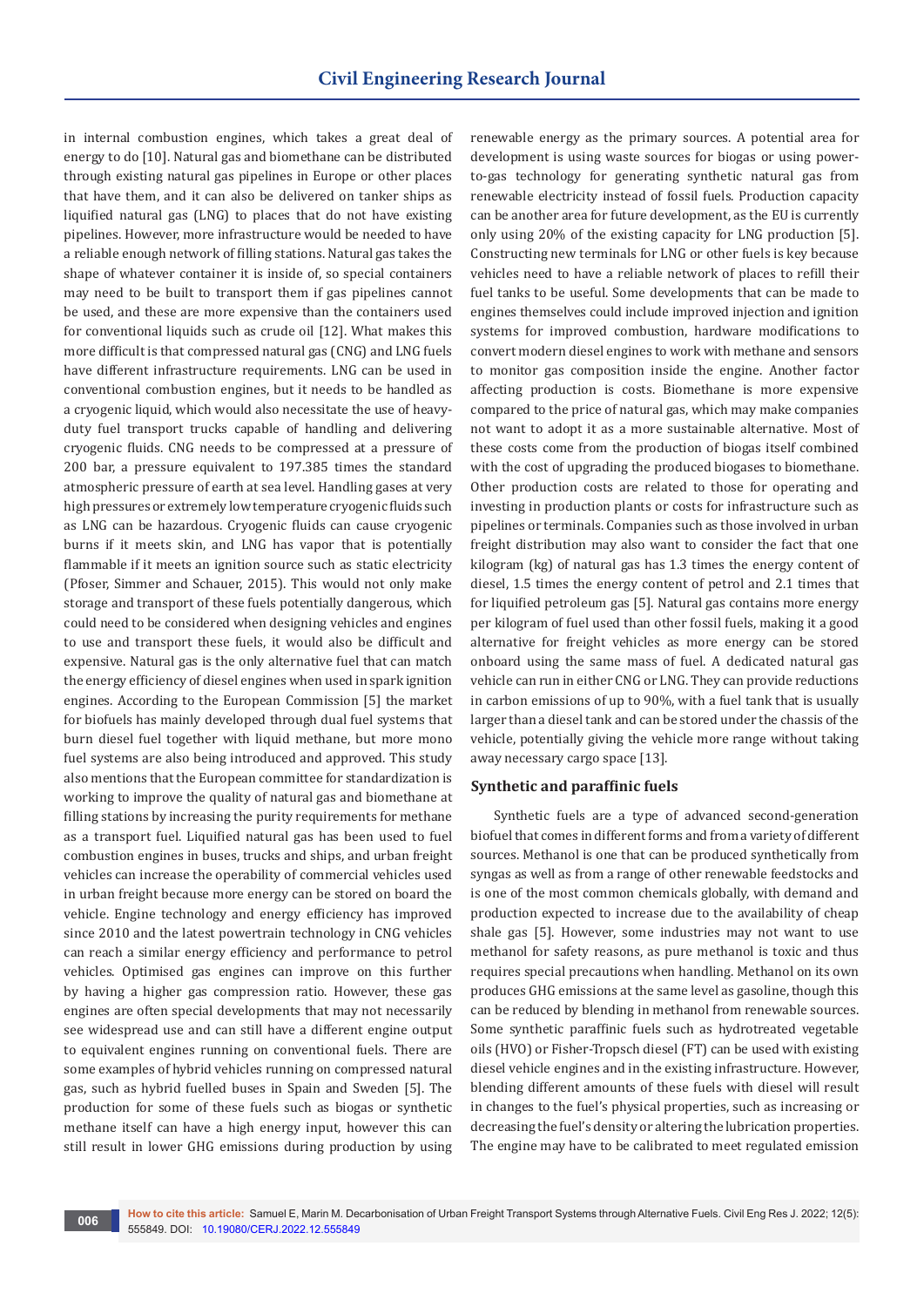in internal combustion engines, which takes a great deal of energy to do [10]. Natural gas and biomethane can be distributed through existing natural gas pipelines in Europe or other places that have them, and it can also be delivered on tanker ships as liquified natural gas (LNG) to places that do not have existing pipelines. However, more infrastructure would be needed to have a reliable enough network of filling stations. Natural gas takes the shape of whatever container it is inside of, so special containers may need to be built to transport them if gas pipelines cannot be used, and these are more expensive than the containers used for conventional liquids such as crude oil [12]. What makes this more difficult is that compressed natural gas (CNG) and LNG fuels have different infrastructure requirements. LNG can be used in conventional combustion engines, but it needs to be handled as a cryogenic liquid, which would also necessitate the use of heavyduty fuel transport trucks capable of handling and delivering cryogenic fluids. CNG needs to be compressed at a pressure of 200 bar, a pressure equivalent to 197.385 times the standard atmospheric pressure of earth at sea level. Handling gases at very high pressures or extremely low temperature cryogenic fluids such as LNG can be hazardous. Cryogenic fluids can cause cryogenic burns if it meets skin, and LNG has vapor that is potentially flammable if it meets an ignition source such as static electricity (Pfoser, Simmer and Schauer, 2015). This would not only make storage and transport of these fuels potentially dangerous, which could need to be considered when designing vehicles and engines to use and transport these fuels, it would also be difficult and expensive. Natural gas is the only alternative fuel that can match the energy efficiency of diesel engines when used in spark ignition engines. According to the European Commission [5] the market for biofuels has mainly developed through dual fuel systems that burn diesel fuel together with liquid methane, but more mono fuel systems are also being introduced and approved. This study also mentions that the European committee for standardization is working to improve the quality of natural gas and biomethane at filling stations by increasing the purity requirements for methane as a transport fuel. Liquified natural gas has been used to fuel combustion engines in buses, trucks and ships, and urban freight vehicles can increase the operability of commercial vehicles used in urban freight because more energy can be stored on board the vehicle. Engine technology and energy efficiency has improved since 2010 and the latest powertrain technology in CNG vehicles can reach a similar energy efficiency and performance to petrol vehicles. Optimised gas engines can improve on this further by having a higher gas compression ratio. However, these gas engines are often special developments that may not necessarily see widespread use and can still have a different engine output to equivalent engines running on conventional fuels. There are some examples of hybrid vehicles running on compressed natural gas, such as hybrid fuelled buses in Spain and Sweden [5]. The production for some of these fuels such as biogas or synthetic methane itself can have a high energy input, however this can still result in lower GHG emissions during production by using

renewable energy as the primary sources. A potential area for development is using waste sources for biogas or using powerto-gas technology for generating synthetic natural gas from renewable electricity instead of fossil fuels. Production capacity can be another area for future development, as the EU is currently only using 20% of the existing capacity for LNG production [5]. Constructing new terminals for LNG or other fuels is key because vehicles need to have a reliable network of places to refill their fuel tanks to be useful. Some developments that can be made to engines themselves could include improved injection and ignition systems for improved combustion, hardware modifications to convert modern diesel engines to work with methane and sensors to monitor gas composition inside the engine. Another factor affecting production is costs. Biomethane is more expensive compared to the price of natural gas, which may make companies not want to adopt it as a more sustainable alternative. Most of these costs come from the production of biogas itself combined with the cost of upgrading the produced biogases to biomethane. Other production costs are related to those for operating and investing in production plants or costs for infrastructure such as pipelines or terminals. Companies such as those involved in urban freight distribution may also want to consider the fact that one kilogram (kg) of natural gas has 1.3 times the energy content of diesel, 1.5 times the energy content of petrol and 2.1 times that for liquified petroleum gas [5]. Natural gas contains more energy per kilogram of fuel used than other fossil fuels, making it a good alternative for freight vehicles as more energy can be stored onboard using the same mass of fuel. A dedicated natural gas vehicle can run in either CNG or LNG. They can provide reductions in carbon emissions of up to 90%, with a fuel tank that is usually larger than a diesel tank and can be stored under the chassis of the vehicle, potentially giving the vehicle more range without taking away necessary cargo space [13].

## **Synthetic and paraffinic fuels**

Synthetic fuels are a type of advanced second-generation biofuel that comes in different forms and from a variety of different sources. Methanol is one that can be produced synthetically from syngas as well as from a range of other renewable feedstocks and is one of the most common chemicals globally, with demand and production expected to increase due to the availability of cheap shale gas [5]. However, some industries may not want to use methanol for safety reasons, as pure methanol is toxic and thus requires special precautions when handling. Methanol on its own produces GHG emissions at the same level as gasoline, though this can be reduced by blending in methanol from renewable sources. Some synthetic paraffinic fuels such as hydrotreated vegetable oils (HVO) or Fisher-Tropsch diesel (FT) can be used with existing diesel vehicle engines and in the existing infrastructure. However, blending different amounts of these fuels with diesel will result in changes to the fuel's physical properties, such as increasing or decreasing the fuel's density or altering the lubrication properties. The engine may have to be calibrated to meet regulated emission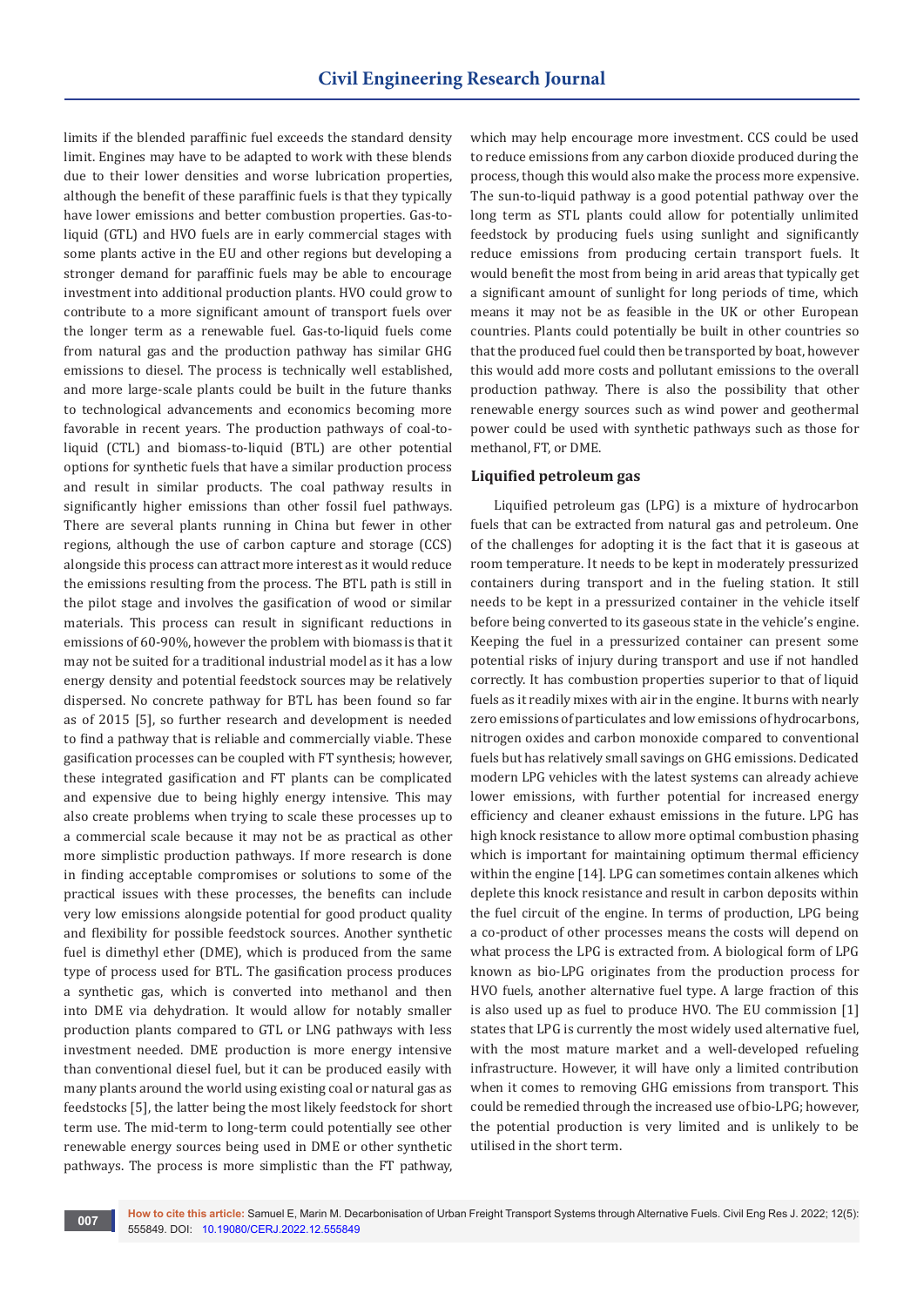limits if the blended paraffinic fuel exceeds the standard density limit. Engines may have to be adapted to work with these blends due to their lower densities and worse lubrication properties, although the benefit of these paraffinic fuels is that they typically have lower emissions and better combustion properties. Gas-toliquid (GTL) and HVO fuels are in early commercial stages with some plants active in the EU and other regions but developing a stronger demand for paraffinic fuels may be able to encourage investment into additional production plants. HVO could grow to contribute to a more significant amount of transport fuels over the longer term as a renewable fuel. Gas-to-liquid fuels come from natural gas and the production pathway has similar GHG emissions to diesel. The process is technically well established, and more large-scale plants could be built in the future thanks to technological advancements and economics becoming more favorable in recent years. The production pathways of coal-toliquid (CTL) and biomass-to-liquid (BTL) are other potential options for synthetic fuels that have a similar production process and result in similar products. The coal pathway results in significantly higher emissions than other fossil fuel pathways. There are several plants running in China but fewer in other regions, although the use of carbon capture and storage (CCS) alongside this process can attract more interest as it would reduce the emissions resulting from the process. The BTL path is still in the pilot stage and involves the gasification of wood or similar materials. This process can result in significant reductions in emissions of 60-90%, however the problem with biomass is that it may not be suited for a traditional industrial model as it has a low energy density and potential feedstock sources may be relatively dispersed. No concrete pathway for BTL has been found so far as of 2015 [5], so further research and development is needed to find a pathway that is reliable and commercially viable. These gasification processes can be coupled with FT synthesis; however, these integrated gasification and FT plants can be complicated and expensive due to being highly energy intensive. This may also create problems when trying to scale these processes up to a commercial scale because it may not be as practical as other more simplistic production pathways. If more research is done in finding acceptable compromises or solutions to some of the practical issues with these processes, the benefits can include very low emissions alongside potential for good product quality and flexibility for possible feedstock sources. Another synthetic fuel is dimethyl ether (DME), which is produced from the same type of process used for BTL. The gasification process produces a synthetic gas, which is converted into methanol and then into DME via dehydration. It would allow for notably smaller production plants compared to GTL or LNG pathways with less investment needed. DME production is more energy intensive than conventional diesel fuel, but it can be produced easily with many plants around the world using existing coal or natural gas as feedstocks [5], the latter being the most likely feedstock for short term use. The mid-term to long-term could potentially see other renewable energy sources being used in DME or other synthetic pathways. The process is more simplistic than the FT pathway,

which may help encourage more investment. CCS could be used to reduce emissions from any carbon dioxide produced during the process, though this would also make the process more expensive. The sun-to-liquid pathway is a good potential pathway over the long term as STL plants could allow for potentially unlimited feedstock by producing fuels using sunlight and significantly reduce emissions from producing certain transport fuels. It would benefit the most from being in arid areas that typically get a significant amount of sunlight for long periods of time, which means it may not be as feasible in the UK or other European countries. Plants could potentially be built in other countries so that the produced fuel could then be transported by boat, however this would add more costs and pollutant emissions to the overall production pathway. There is also the possibility that other renewable energy sources such as wind power and geothermal power could be used with synthetic pathways such as those for methanol, FT, or DME.

## **Liquified petroleum gas**

Liquified petroleum gas (LPG) is a mixture of hydrocarbon fuels that can be extracted from natural gas and petroleum. One of the challenges for adopting it is the fact that it is gaseous at room temperature. It needs to be kept in moderately pressurized containers during transport and in the fueling station. It still needs to be kept in a pressurized container in the vehicle itself before being converted to its gaseous state in the vehicle's engine. Keeping the fuel in a pressurized container can present some potential risks of injury during transport and use if not handled correctly. It has combustion properties superior to that of liquid fuels as it readily mixes with air in the engine. It burns with nearly zero emissions of particulates and low emissions of hydrocarbons, nitrogen oxides and carbon monoxide compared to conventional fuels but has relatively small savings on GHG emissions. Dedicated modern LPG vehicles with the latest systems can already achieve lower emissions, with further potential for increased energy efficiency and cleaner exhaust emissions in the future. LPG has high knock resistance to allow more optimal combustion phasing which is important for maintaining optimum thermal efficiency within the engine [14]. LPG can sometimes contain alkenes which deplete this knock resistance and result in carbon deposits within the fuel circuit of the engine. In terms of production, LPG being a co-product of other processes means the costs will depend on what process the LPG is extracted from. A biological form of LPG known as bio-LPG originates from the production process for HVO fuels, another alternative fuel type. A large fraction of this is also used up as fuel to produce HVO. The EU commission [1] states that LPG is currently the most widely used alternative fuel, with the most mature market and a well-developed refueling infrastructure. However, it will have only a limited contribution when it comes to removing GHG emissions from transport. This could be remedied through the increased use of bio-LPG; however, the potential production is very limited and is unlikely to be utilised in the short term.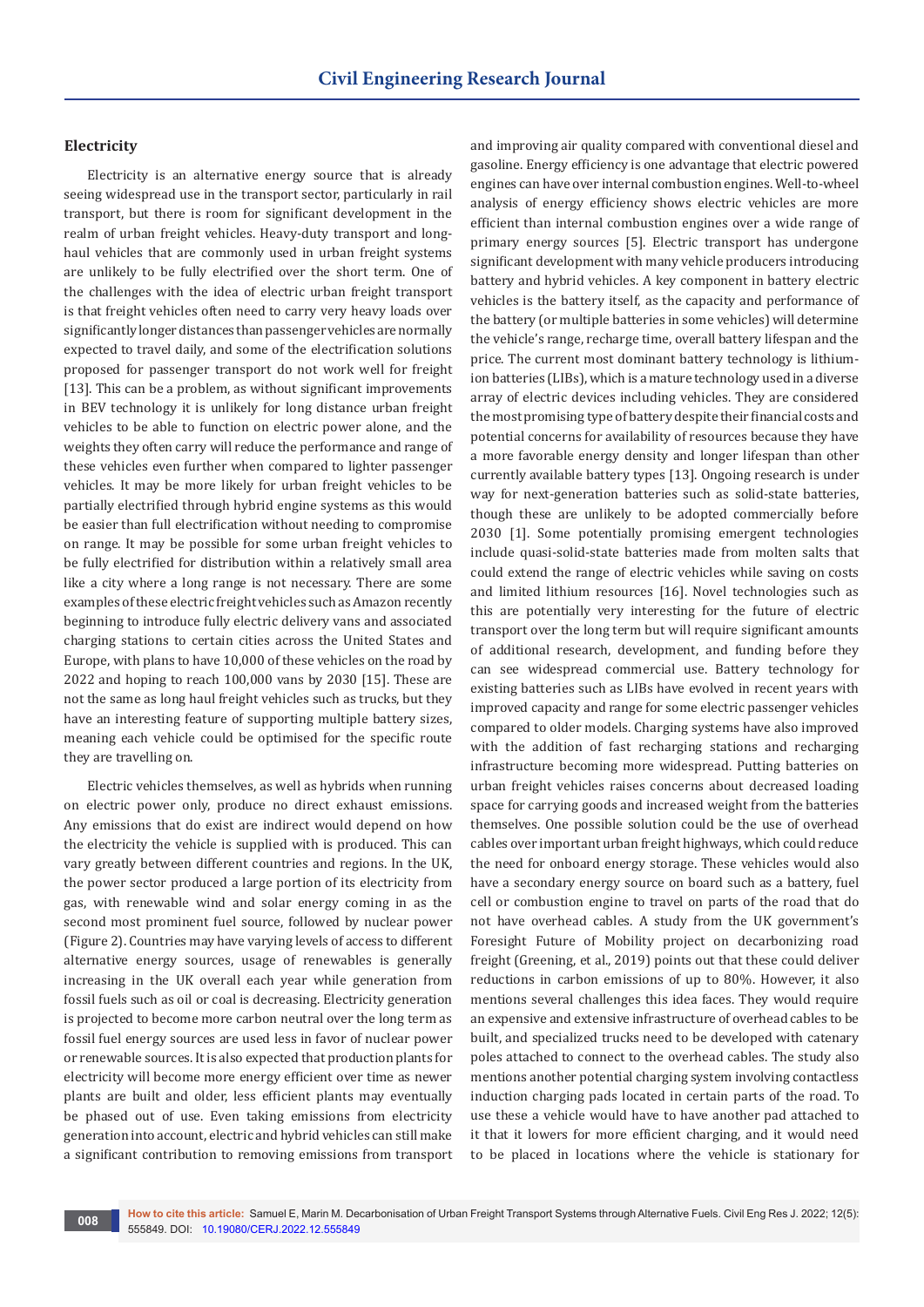## **Electricity**

Electricity is an alternative energy source that is already seeing widespread use in the transport sector, particularly in rail transport, but there is room for significant development in the realm of urban freight vehicles. Heavy-duty transport and longhaul vehicles that are commonly used in urban freight systems are unlikely to be fully electrified over the short term. One of the challenges with the idea of electric urban freight transport is that freight vehicles often need to carry very heavy loads over significantly longer distances than passenger vehicles are normally expected to travel daily, and some of the electrification solutions proposed for passenger transport do not work well for freight [13]. This can be a problem, as without significant improvements in BEV technology it is unlikely for long distance urban freight vehicles to be able to function on electric power alone, and the weights they often carry will reduce the performance and range of these vehicles even further when compared to lighter passenger vehicles. It may be more likely for urban freight vehicles to be partially electrified through hybrid engine systems as this would be easier than full electrification without needing to compromise on range. It may be possible for some urban freight vehicles to be fully electrified for distribution within a relatively small area like a city where a long range is not necessary. There are some examples of these electric freight vehicles such as Amazon recently beginning to introduce fully electric delivery vans and associated charging stations to certain cities across the United States and Europe, with plans to have 10,000 of these vehicles on the road by 2022 and hoping to reach 100,000 vans by 2030 [15]. These are not the same as long haul freight vehicles such as trucks, but they have an interesting feature of supporting multiple battery sizes, meaning each vehicle could be optimised for the specific route they are travelling on.

Electric vehicles themselves, as well as hybrids when running on electric power only, produce no direct exhaust emissions. Any emissions that do exist are indirect would depend on how the electricity the vehicle is supplied with is produced. This can vary greatly between different countries and regions. In the UK, the power sector produced a large portion of its electricity from gas, with renewable wind and solar energy coming in as the second most prominent fuel source, followed by nuclear power (Figure 2). Countries may have varying levels of access to different alternative energy sources, usage of renewables is generally increasing in the UK overall each year while generation from fossil fuels such as oil or coal is decreasing. Electricity generation is projected to become more carbon neutral over the long term as fossil fuel energy sources are used less in favor of nuclear power or renewable sources. It is also expected that production plants for electricity will become more energy efficient over time as newer plants are built and older, less efficient plants may eventually be phased out of use. Even taking emissions from electricity generation into account, electric and hybrid vehicles can still make a significant contribution to removing emissions from transport and improving air quality compared with conventional diesel and gasoline. Energy efficiency is one advantage that electric powered engines can have over internal combustion engines. Well-to-wheel analysis of energy efficiency shows electric vehicles are more efficient than internal combustion engines over a wide range of primary energy sources [5]. Electric transport has undergone significant development with many vehicle producers introducing battery and hybrid vehicles. A key component in battery electric vehicles is the battery itself, as the capacity and performance of the battery (or multiple batteries in some vehicles) will determine the vehicle's range, recharge time, overall battery lifespan and the price. The current most dominant battery technology is lithiumion batteries (LIBs), which is a mature technology used in a diverse array of electric devices including vehicles. They are considered the most promising type of battery despite their financial costs and potential concerns for availability of resources because they have a more favorable energy density and longer lifespan than other currently available battery types [13]. Ongoing research is under way for next-generation batteries such as solid-state batteries, though these are unlikely to be adopted commercially before 2030 [1]. Some potentially promising emergent technologies include quasi-solid-state batteries made from molten salts that could extend the range of electric vehicles while saving on costs and limited lithium resources [16]. Novel technologies such as this are potentially very interesting for the future of electric transport over the long term but will require significant amounts of additional research, development, and funding before they can see widespread commercial use. Battery technology for existing batteries such as LIBs have evolved in recent years with improved capacity and range for some electric passenger vehicles compared to older models. Charging systems have also improved with the addition of fast recharging stations and recharging infrastructure becoming more widespread. Putting batteries on urban freight vehicles raises concerns about decreased loading space for carrying goods and increased weight from the batteries themselves. One possible solution could be the use of overhead cables over important urban freight highways, which could reduce the need for onboard energy storage. These vehicles would also have a secondary energy source on board such as a battery, fuel cell or combustion engine to travel on parts of the road that do not have overhead cables. A study from the UK government's Foresight Future of Mobility project on decarbonizing road freight (Greening, et al., 2019) points out that these could deliver reductions in carbon emissions of up to 80%. However, it also mentions several challenges this idea faces. They would require an expensive and extensive infrastructure of overhead cables to be built, and specialized trucks need to be developed with catenary poles attached to connect to the overhead cables. The study also mentions another potential charging system involving contactless induction charging pads located in certain parts of the road. To use these a vehicle would have to have another pad attached to it that it lowers for more efficient charging, and it would need to be placed in locations where the vehicle is stationary for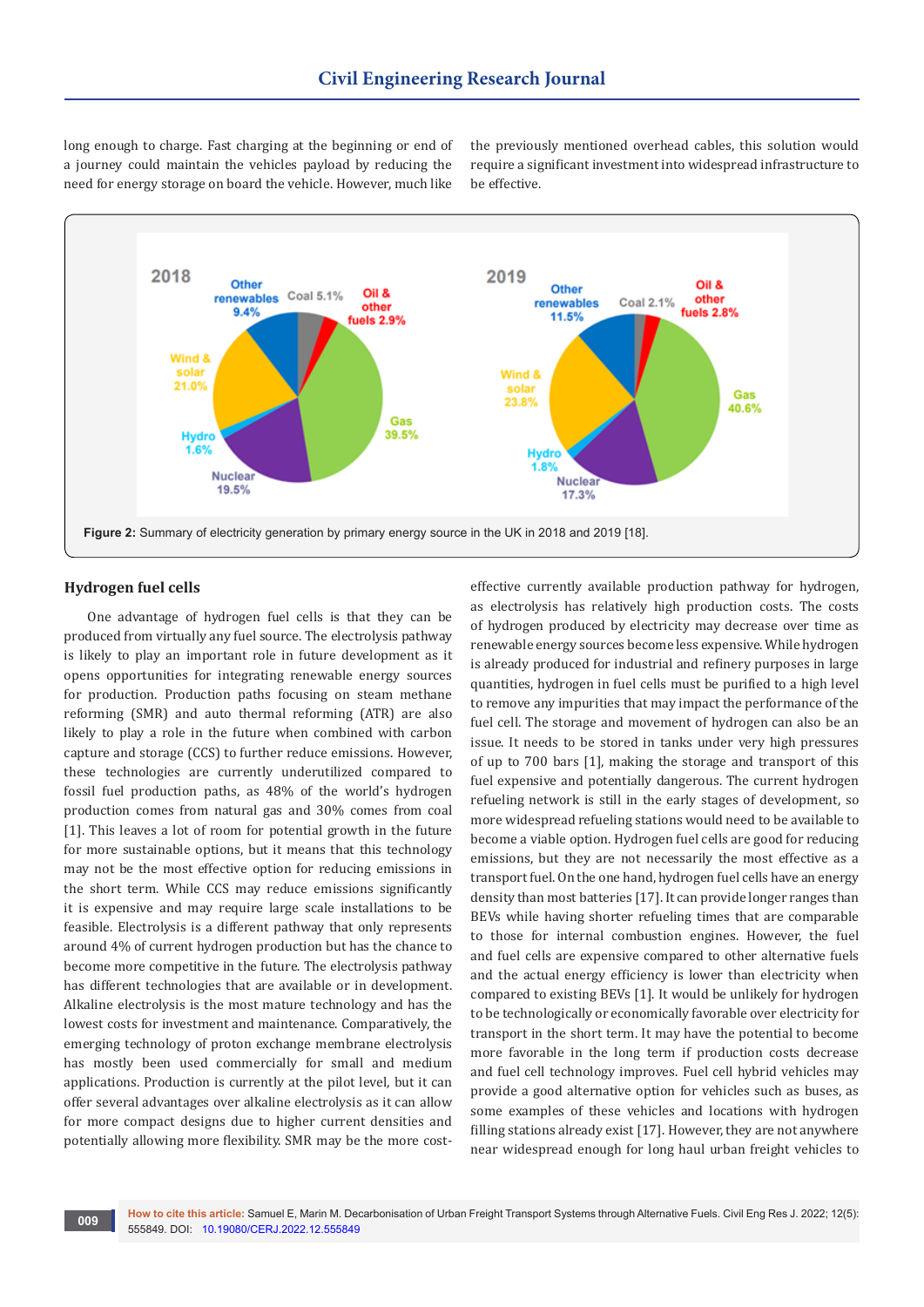long enough to charge. Fast charging at the beginning or end of a journey could maintain the vehicles payload by reducing the need for energy storage on board the vehicle. However, much like

the previously mentioned overhead cables, this solution would require a significant investment into widespread infrastructure to be effective.



## **Hydrogen fuel cells**

One advantage of hydrogen fuel cells is that they can be produced from virtually any fuel source. The electrolysis pathway is likely to play an important role in future development as it opens opportunities for integrating renewable energy sources for production. Production paths focusing on steam methane reforming (SMR) and auto thermal reforming (ATR) are also likely to play a role in the future when combined with carbon capture and storage (CCS) to further reduce emissions. However, these technologies are currently underutilized compared to fossil fuel production paths, as 48% of the world's hydrogen production comes from natural gas and 30% comes from coal [1]. This leaves a lot of room for potential growth in the future for more sustainable options, but it means that this technology may not be the most effective option for reducing emissions in the short term. While CCS may reduce emissions significantly it is expensive and may require large scale installations to be feasible. Electrolysis is a different pathway that only represents around 4% of current hydrogen production but has the chance to become more competitive in the future. The electrolysis pathway has different technologies that are available or in development. Alkaline electrolysis is the most mature technology and has the lowest costs for investment and maintenance. Comparatively, the emerging technology of proton exchange membrane electrolysis has mostly been used commercially for small and medium applications. Production is currently at the pilot level, but it can offer several advantages over alkaline electrolysis as it can allow for more compact designs due to higher current densities and potentially allowing more flexibility. SMR may be the more costeffective currently available production pathway for hydrogen, as electrolysis has relatively high production costs. The costs of hydrogen produced by electricity may decrease over time as renewable energy sources become less expensive. While hydrogen is already produced for industrial and refinery purposes in large quantities, hydrogen in fuel cells must be purified to a high level to remove any impurities that may impact the performance of the fuel cell. The storage and movement of hydrogen can also be an issue. It needs to be stored in tanks under very high pressures of up to 700 bars [1], making the storage and transport of this fuel expensive and potentially dangerous. The current hydrogen refueling network is still in the early stages of development, so more widespread refueling stations would need to be available to become a viable option. Hydrogen fuel cells are good for reducing emissions, but they are not necessarily the most effective as a transport fuel. On the one hand, hydrogen fuel cells have an energy density than most batteries [17]. It can provide longer ranges than BEVs while having shorter refueling times that are comparable to those for internal combustion engines. However, the fuel and fuel cells are expensive compared to other alternative fuels and the actual energy efficiency is lower than electricity when compared to existing BEVs [1]. It would be unlikely for hydrogen to be technologically or economically favorable over electricity for transport in the short term. It may have the potential to become more favorable in the long term if production costs decrease and fuel cell technology improves. Fuel cell hybrid vehicles may provide a good alternative option for vehicles such as buses, as some examples of these vehicles and locations with hydrogen filling stations already exist [17]. However, they are not anywhere near widespread enough for long haul urban freight vehicles to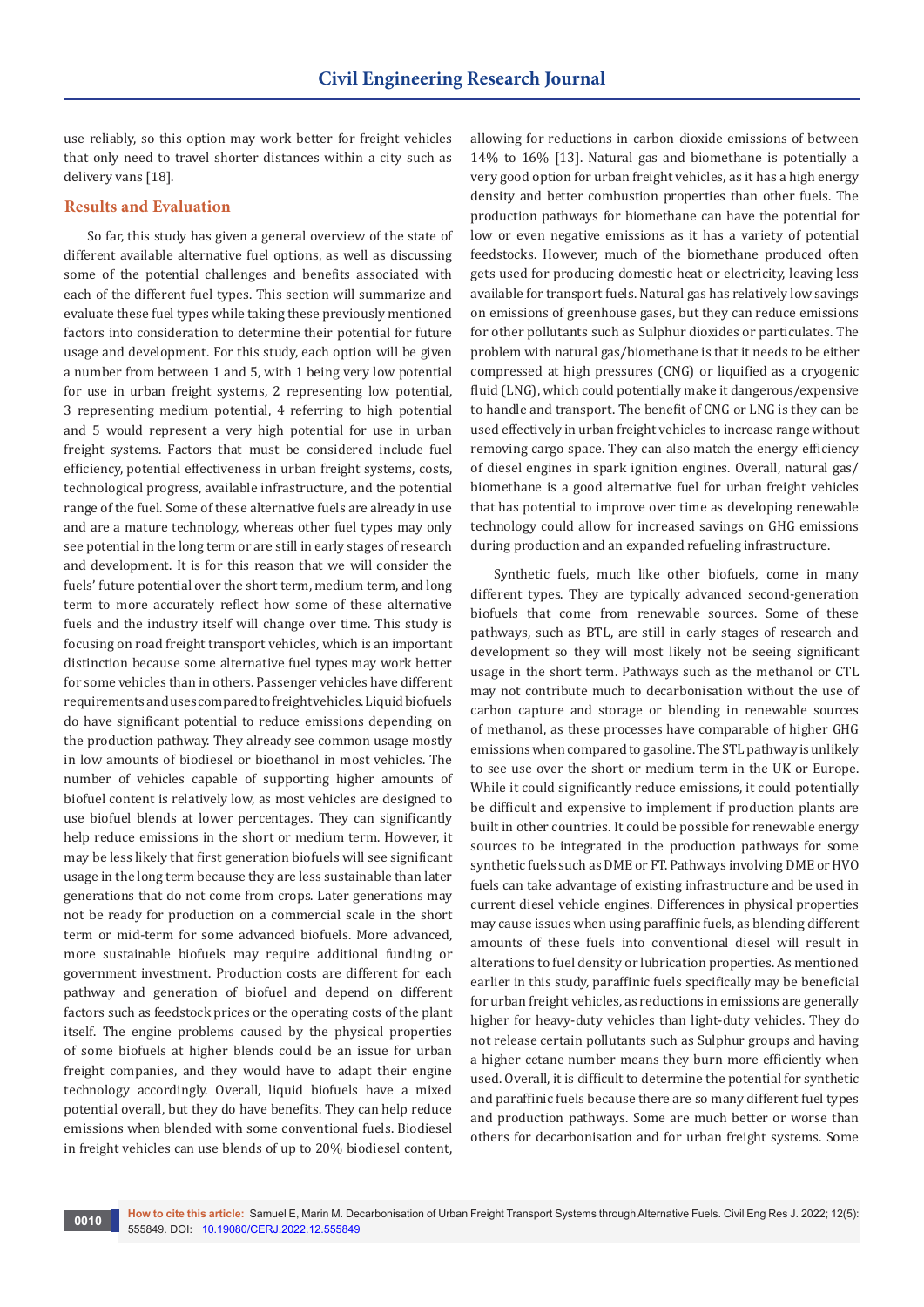use reliably, so this option may work better for freight vehicles that only need to travel shorter distances within a city such as delivery vans [18].

## **Results and Evaluation**

So far, this study has given a general overview of the state of different available alternative fuel options, as well as discussing some of the potential challenges and benefits associated with each of the different fuel types. This section will summarize and evaluate these fuel types while taking these previously mentioned factors into consideration to determine their potential for future usage and development. For this study, each option will be given a number from between 1 and 5, with 1 being very low potential for use in urban freight systems, 2 representing low potential, 3 representing medium potential, 4 referring to high potential and 5 would represent a very high potential for use in urban freight systems. Factors that must be considered include fuel efficiency, potential effectiveness in urban freight systems, costs, technological progress, available infrastructure, and the potential range of the fuel. Some of these alternative fuels are already in use and are a mature technology, whereas other fuel types may only see potential in the long term or are still in early stages of research and development. It is for this reason that we will consider the fuels' future potential over the short term, medium term, and long term to more accurately reflect how some of these alternative fuels and the industry itself will change over time. This study is focusing on road freight transport vehicles, which is an important distinction because some alternative fuel types may work better for some vehicles than in others. Passenger vehicles have different requirements and uses compared to freight vehicles. Liquid biofuels do have significant potential to reduce emissions depending on the production pathway. They already see common usage mostly in low amounts of biodiesel or bioethanol in most vehicles. The number of vehicles capable of supporting higher amounts of biofuel content is relatively low, as most vehicles are designed to use biofuel blends at lower percentages. They can significantly help reduce emissions in the short or medium term. However, it may be less likely that first generation biofuels will see significant usage in the long term because they are less sustainable than later generations that do not come from crops. Later generations may not be ready for production on a commercial scale in the short term or mid-term for some advanced biofuels. More advanced, more sustainable biofuels may require additional funding or government investment. Production costs are different for each pathway and generation of biofuel and depend on different factors such as feedstock prices or the operating costs of the plant itself. The engine problems caused by the physical properties of some biofuels at higher blends could be an issue for urban freight companies, and they would have to adapt their engine technology accordingly. Overall, liquid biofuels have a mixed potential overall, but they do have benefits. They can help reduce emissions when blended with some conventional fuels. Biodiesel in freight vehicles can use blends of up to 20% biodiesel content,

allowing for reductions in carbon dioxide emissions of between 14% to 16% [13]. Natural gas and biomethane is potentially a very good option for urban freight vehicles, as it has a high energy density and better combustion properties than other fuels. The production pathways for biomethane can have the potential for low or even negative emissions as it has a variety of potential feedstocks. However, much of the biomethane produced often gets used for producing domestic heat or electricity, leaving less available for transport fuels. Natural gas has relatively low savings on emissions of greenhouse gases, but they can reduce emissions for other pollutants such as Sulphur dioxides or particulates. The problem with natural gas/biomethane is that it needs to be either compressed at high pressures (CNG) or liquified as a cryogenic fluid (LNG), which could potentially make it dangerous/expensive to handle and transport. The benefit of CNG or LNG is they can be used effectively in urban freight vehicles to increase range without removing cargo space. They can also match the energy efficiency of diesel engines in spark ignition engines. Overall, natural gas/ biomethane is a good alternative fuel for urban freight vehicles that has potential to improve over time as developing renewable technology could allow for increased savings on GHG emissions during production and an expanded refueling infrastructure.

Synthetic fuels, much like other biofuels, come in many different types. They are typically advanced second-generation biofuels that come from renewable sources. Some of these pathways, such as BTL, are still in early stages of research and development so they will most likely not be seeing significant usage in the short term. Pathways such as the methanol or CTL may not contribute much to decarbonisation without the use of carbon capture and storage or blending in renewable sources of methanol, as these processes have comparable of higher GHG emissions when compared to gasoline. The STL pathway is unlikely to see use over the short or medium term in the UK or Europe. While it could significantly reduce emissions, it could potentially be difficult and expensive to implement if production plants are built in other countries. It could be possible for renewable energy sources to be integrated in the production pathways for some synthetic fuels such as DME or FT. Pathways involving DME or HVO fuels can take advantage of existing infrastructure and be used in current diesel vehicle engines. Differences in physical properties may cause issues when using paraffinic fuels, as blending different amounts of these fuels into conventional diesel will result in alterations to fuel density or lubrication properties. As mentioned earlier in this study, paraffinic fuels specifically may be beneficial for urban freight vehicles, as reductions in emissions are generally higher for heavy-duty vehicles than light-duty vehicles. They do not release certain pollutants such as Sulphur groups and having a higher cetane number means they burn more efficiently when used. Overall, it is difficult to determine the potential for synthetic and paraffinic fuels because there are so many different fuel types and production pathways. Some are much better or worse than others for decarbonisation and for urban freight systems. Some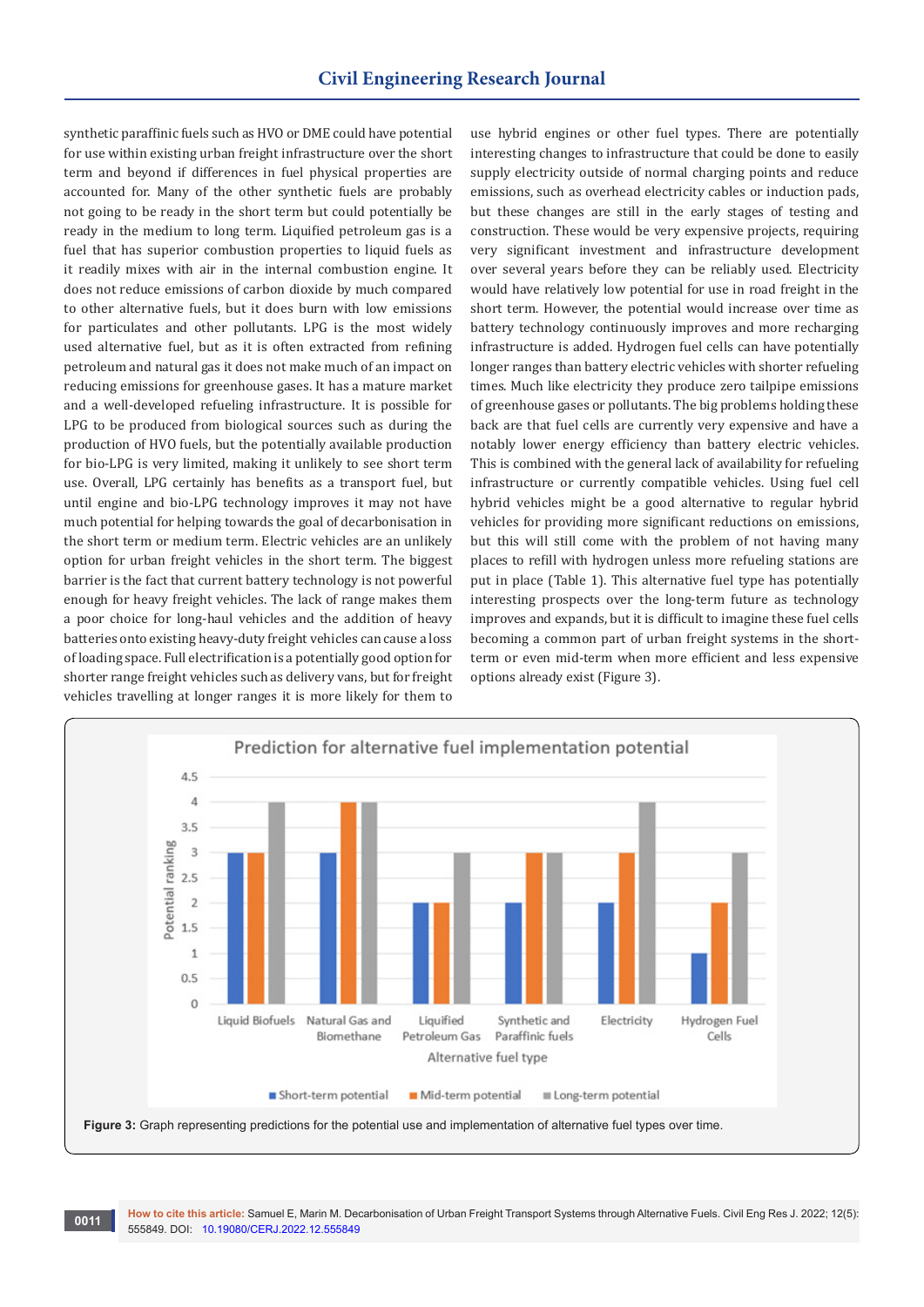synthetic paraffinic fuels such as HVO or DME could have potential for use within existing urban freight infrastructure over the short term and beyond if differences in fuel physical properties are accounted for. Many of the other synthetic fuels are probably not going to be ready in the short term but could potentially be ready in the medium to long term. Liquified petroleum gas is a fuel that has superior combustion properties to liquid fuels as it readily mixes with air in the internal combustion engine. It does not reduce emissions of carbon dioxide by much compared to other alternative fuels, but it does burn with low emissions for particulates and other pollutants. LPG is the most widely used alternative fuel, but as it is often extracted from refining petroleum and natural gas it does not make much of an impact on reducing emissions for greenhouse gases. It has a mature market and a well-developed refueling infrastructure. It is possible for LPG to be produced from biological sources such as during the production of HVO fuels, but the potentially available production for bio-LPG is very limited, making it unlikely to see short term use. Overall, LPG certainly has benefits as a transport fuel, but until engine and bio-LPG technology improves it may not have much potential for helping towards the goal of decarbonisation in the short term or medium term. Electric vehicles are an unlikely option for urban freight vehicles in the short term. The biggest barrier is the fact that current battery technology is not powerful enough for heavy freight vehicles. The lack of range makes them a poor choice for long-haul vehicles and the addition of heavy batteries onto existing heavy-duty freight vehicles can cause a loss of loading space. Full electrification is a potentially good option for shorter range freight vehicles such as delivery vans, but for freight vehicles travelling at longer ranges it is more likely for them to

use hybrid engines or other fuel types. There are potentially interesting changes to infrastructure that could be done to easily supply electricity outside of normal charging points and reduce emissions, such as overhead electricity cables or induction pads, but these changes are still in the early stages of testing and construction. These would be very expensive projects, requiring very significant investment and infrastructure development over several years before they can be reliably used. Electricity would have relatively low potential for use in road freight in the short term. However, the potential would increase over time as battery technology continuously improves and more recharging infrastructure is added. Hydrogen fuel cells can have potentially longer ranges than battery electric vehicles with shorter refueling times. Much like electricity they produce zero tailpipe emissions of greenhouse gases or pollutants. The big problems holding these back are that fuel cells are currently very expensive and have a notably lower energy efficiency than battery electric vehicles. This is combined with the general lack of availability for refueling infrastructure or currently compatible vehicles. Using fuel cell hybrid vehicles might be a good alternative to regular hybrid vehicles for providing more significant reductions on emissions, but this will still come with the problem of not having many places to refill with hydrogen unless more refueling stations are put in place (Table 1). This alternative fuel type has potentially interesting prospects over the long-term future as technology improves and expands, but it is difficult to imagine these fuel cells becoming a common part of urban freight systems in the shortterm or even mid-term when more efficient and less expensive options already exist (Figure 3).

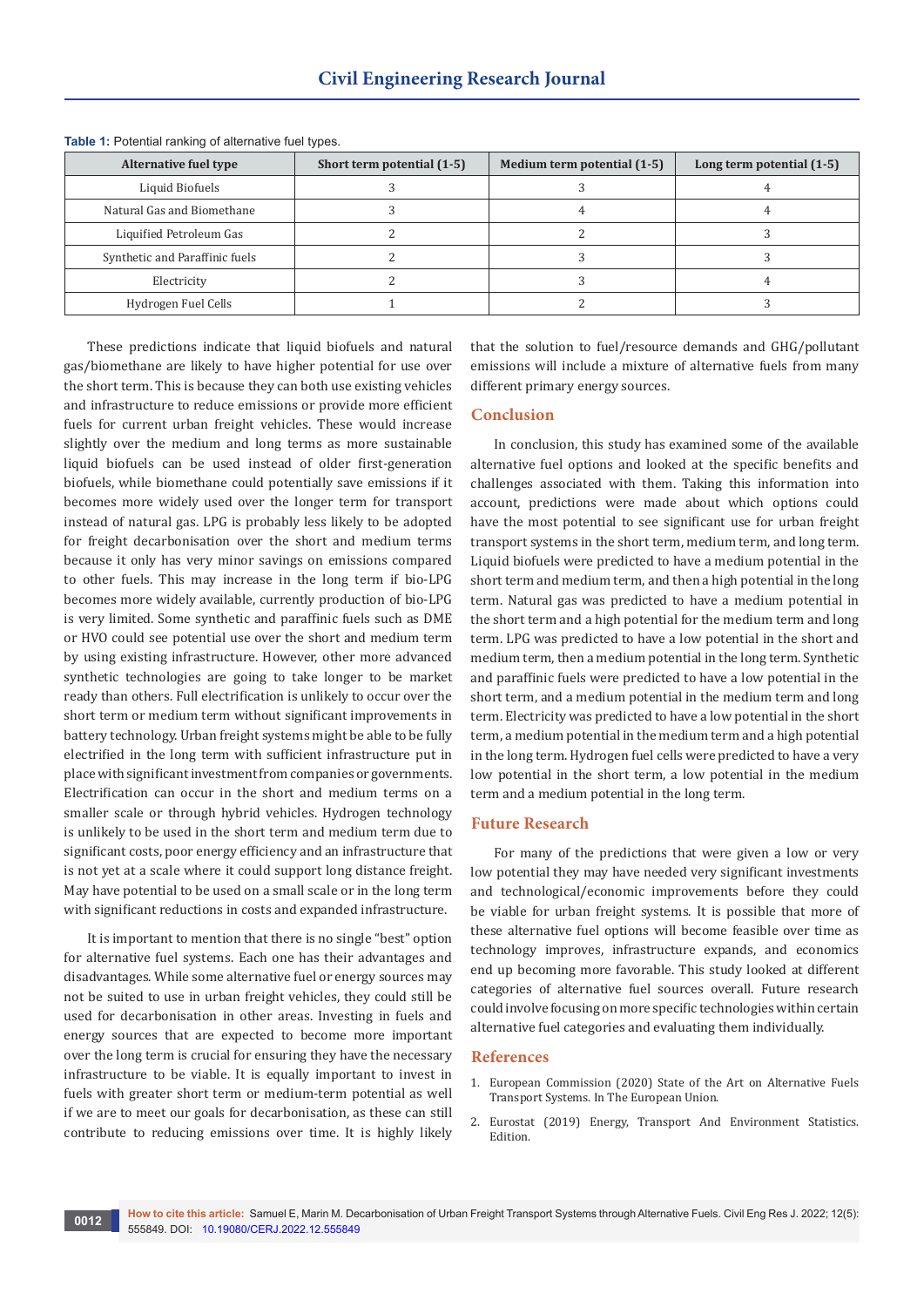| Alternative fuel type          | Short term potential (1-5) | Medium term potential (1-5) | Long term potential (1-5) |
|--------------------------------|----------------------------|-----------------------------|---------------------------|
| Liquid Biofuels                |                            |                             |                           |
| Natural Gas and Biomethane     |                            |                             |                           |
| Liquified Petroleum Gas        |                            |                             |                           |
| Synthetic and Paraffinic fuels |                            |                             |                           |
| Electricity                    |                            |                             |                           |
| Hydrogen Fuel Cells            |                            |                             |                           |

**Table 1:** Potential ranking of alternative fuel types.

These predictions indicate that liquid biofuels and natural gas/biomethane are likely to have higher potential for use over the short term. This is because they can both use existing vehicles and infrastructure to reduce emissions or provide more efficient fuels for current urban freight vehicles. These would increase slightly over the medium and long terms as more sustainable liquid biofuels can be used instead of older first-generation biofuels, while biomethane could potentially save emissions if it becomes more widely used over the longer term for transport instead of natural gas. LPG is probably less likely to be adopted for freight decarbonisation over the short and medium terms because it only has very minor savings on emissions compared to other fuels. This may increase in the long term if bio-LPG becomes more widely available, currently production of bio-LPG is very limited. Some synthetic and paraffinic fuels such as DME or HVO could see potential use over the short and medium term by using existing infrastructure. However, other more advanced synthetic technologies are going to take longer to be market ready than others. Full electrification is unlikely to occur over the short term or medium term without significant improvements in battery technology. Urban freight systems might be able to be fully electrified in the long term with sufficient infrastructure put in place with significant investment from companies or governments. Electrification can occur in the short and medium terms on a smaller scale or through hybrid vehicles. Hydrogen technology is unlikely to be used in the short term and medium term due to significant costs, poor energy efficiency and an infrastructure that is not yet at a scale where it could support long distance freight. May have potential to be used on a small scale or in the long term with significant reductions in costs and expanded infrastructure.

It is important to mention that there is no single "best" option for alternative fuel systems. Each one has their advantages and disadvantages. While some alternative fuel or energy sources may not be suited to use in urban freight vehicles, they could still be used for decarbonisation in other areas. Investing in fuels and energy sources that are expected to become more important over the long term is crucial for ensuring they have the necessary infrastructure to be viable. It is equally important to invest in fuels with greater short term or medium-term potential as well if we are to meet our goals for decarbonisation, as these can still contribute to reducing emissions over time. It is highly likely

that the solution to fuel/resource demands and GHG/pollutant emissions will include a mixture of alternative fuels from many different primary energy sources.

## **Conclusion**

In conclusion, this study has examined some of the available alternative fuel options and looked at the specific benefits and challenges associated with them. Taking this information into account, predictions were made about which options could have the most potential to see significant use for urban freight transport systems in the short term, medium term, and long term. Liquid biofuels were predicted to have a medium potential in the short term and medium term, and then a high potential in the long term. Natural gas was predicted to have a medium potential in the short term and a high potential for the medium term and long term. LPG was predicted to have a low potential in the short and medium term, then a medium potential in the long term. Synthetic and paraffinic fuels were predicted to have a low potential in the short term, and a medium potential in the medium term and long term. Electricity was predicted to have a low potential in the short term, a medium potential in the medium term and a high potential in the long term. Hydrogen fuel cells were predicted to have a very low potential in the short term, a low potential in the medium term and a medium potential in the long term.

## **Future Research**

For many of the predictions that were given a low or very low potential they may have needed very significant investments and technological/economic improvements before they could be viable for urban freight systems. It is possible that more of these alternative fuel options will become feasible over time as technology improves, infrastructure expands, and economics end up becoming more favorable. This study looked at different categories of alternative fuel sources overall. Future research could involve focusing on more specific technologies within certain alternative fuel categories and evaluating them individually.

#### **References**

- 1. European Commission (2020) State of the Art on Alternative Fuels Transport Systems. In The European Union.
- 2. Eurostat (2019) Energy, Transport And Environment Statistics. Edition.